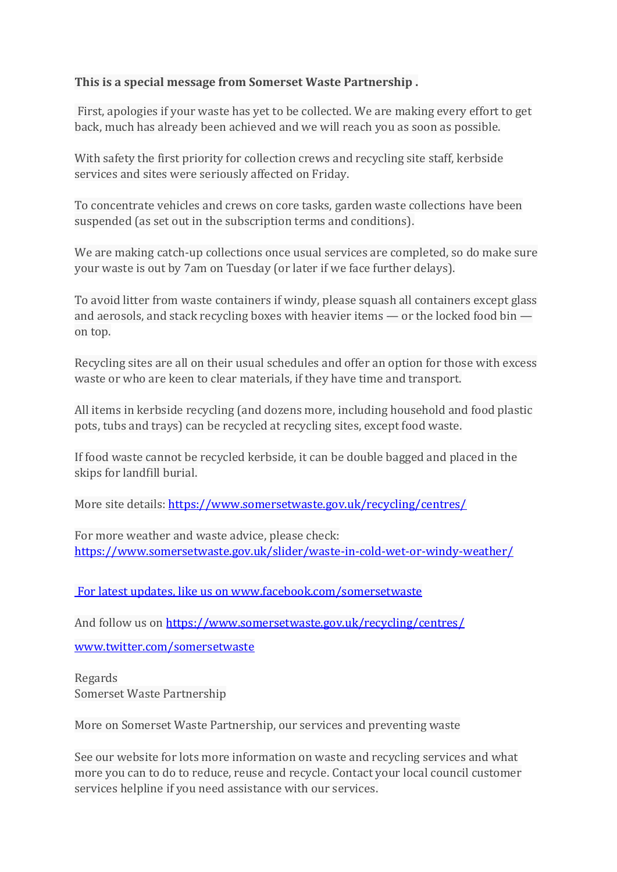## **This is a special message from Somerset Waste Partnership .**

First, apologies if your waste has yet to be collected. We are making every effort to get back, much has already been achieved and we will reach you as soon as possible.

With safety the first priority for collection crews and recycling site staff, kerbside services and sites were seriously affected on Friday.

To concentrate vehicles and crews on core tasks, garden waste collections have been suspended (as set out in the subscription terms and conditions).

We are making catch-up collections once usual services are completed, so do make sure your waste is out by 7am on Tuesday (or later if we face further delays).

To avoid litter from waste containers if windy, please squash all containers except glass and aerosols, and stack recycling boxes with heavier items — or the locked food bin on top.

Recycling sites are all on their usual schedules and offer an option for those with excess waste or who are keen to clear materials, if they have time and transport.

All items in kerbside recycling (and dozens more, including household and food plastic pots, tubs and trays) can be recycled at recycling sites, except food waste.

If food waste cannot be recycled kerbside, it can be double bagged and placed in the skips for landfill burial.

More site details[: https://www.somersetwaste.gov.uk/recycling/centres/](https://www.somersetwaste.gov.uk/recycling/centres/)

For more weather and waste advice, please check: [https://www.somersetwaste.gov.uk/slider/waste-in-cold-wet-or-windy-weather/](https://www.somersetwaste.gov.uk/recycling/centres/)

[For latest updates, like us on www.facebook.com/somersetwaste](https://www.somersetwaste.gov.uk/recycling/centres/)

And follow us on<https://www.somersetwaste.gov.uk/recycling/centres/>

<www.twitter.com/somersetwaste>

Regards Somerset Waste Partnership

More on Somerset Waste Partnership, our services and preventing waste

See our website for lots more information on waste and recycling services and what more you can to do to reduce, reuse and recycle. Contact your local council customer services helpline if you need assistance with our services.